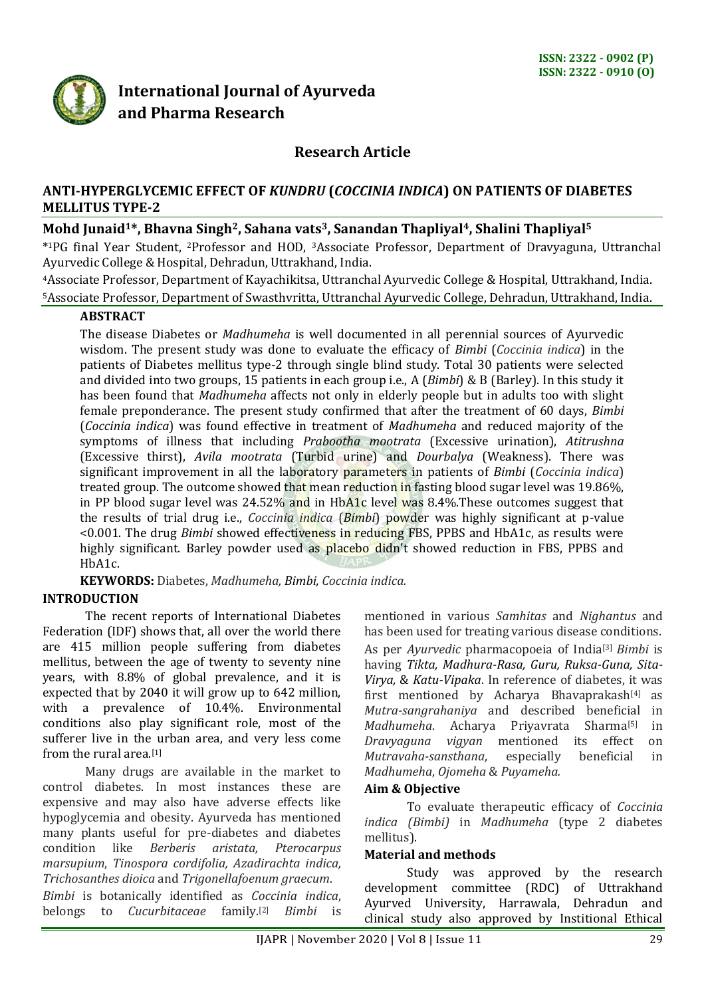

# **International Journal of Ayurveda and Pharma Research**

# **Research Article**

## **ANTI-HYPERGLYCEMIC EFFECT OF** *KUNDRU* **(***COCCINIA INDICA***) ON PATIENTS OF DIABETES MELLITUS TYPE-2**

## **Mohd Junaid1\*, Bhavna Singh2, Sahana vats3, Sanandan Thapliyal4, Shalini Thapliyal<sup>5</sup>**

\* <sup>1</sup>PG final Year Student, <sup>2</sup>Professor and HOD, 3Associate Professor, Department of Dravyaguna, Uttranchal Ayurvedic College & Hospital, Dehradun, Uttrakhand, India.

<sup>4</sup>Associate Professor, Department of Kayachikitsa, Uttranchal Ayurvedic College & Hospital, Uttrakhand, India. <sup>5</sup>Associate Professor, Department of Swasthvritta, Uttranchal Ayurvedic College, Dehradun, Uttrakhand, India.

#### **ABSTRACT**

The disease Diabetes or *Madhumeha* is well documented in all perennial sources of Ayurvedic wisdom. The present study was done to evaluate the efficacy of *Bimbi* (*Coccinia indica*) in the patients of Diabetes mellitus type-2 through single blind study. Total 30 patients were selected and divided into two groups, 15 patients in each group i.e., A (*Bimbi*) & B (Barley). In this study it has been found that *Madhumeha* affects not only in elderly people but in adults too with slight female preponderance. The present study confirmed that after the treatment of 60 days, *Bimbi* (*Coccinia indica*) was found effective in treatment of *Madhumeha* and reduced majority of the symptoms of illness that including *Prabootha mootrata* (Excessive urination), *Atitrushna* (Excessive thirst), *Avila mootrata* (Turbid urine) and *Dourbalya* (Weakness). There was significant improvement in all the laboratory parameters in patients of *Bimbi* (*Coccinia indica*) treated group. The outcome showed that mean reduction in fasting blood sugar level was 19.86%. in PP blood sugar level was 24.52% and in HbA1c level was 8.4%. These outcomes suggest that the results of trial drug i.e., *Coccinia indica* (*Bimbi*) powder was highly significant at p-value <0.001. The drug *Bimbi* showed effectiveness in reducing FBS, PPBS and HbA1c, as results were highly significant. Barley powder used as placebo didn't showed reduction in FBS, PPBS and HbA1c.

**KEYWORDS:** Diabetes, *Madhumeha, Bimbi, Coccinia indica.*

# **INTRODUCTION**

The recent reports of International Diabetes Federation (IDF) shows that, all over the world there are 415 million people suffering from diabetes mellitus, between the age of twenty to seventy nine years, with 8.8% of global prevalence, and it is expected that by 2040 it will grow up to 642 million, with a prevalence of 10.4%. Environmental conditions also play significant role, most of the sufferer live in the urban area, and very less come from the rural area.[1]

Many drugs are available in the market to control diabetes. In most instances these are expensive and may also have adverse effects like hypoglycemia and obesity. Ayurveda has mentioned many plants useful for pre-diabetes and diabetes condition like *Berberis aristata, Pterocarpus marsupium*, *Tinospora cordifolia, Azadirachta indica, Trichosanthes dioica* and *Trigonellafoenum graecum*.

*Bimbi* is botanically identified as *Coccinia indica*, belongs to *Cucurbitaceae* family.[2] *Bimbi* is

mentioned in various *Samhitas* and *Nighantus* and has been used for treating various disease conditions. As per *Ayurvedic* pharmacopoeia of India[3] *Bimbi* is having *Tikta, Madhura-Rasa, Guru, Ruksa-Guna, Sita-Virya,* & *Katu-Vipaka*. In reference of diabetes, it was first mentioned by Acharya Bhavaprakash[4] as *Mutra-sangrahaniya* and described beneficial in *Madhumeha*. Acharya Priyavrata Sharma[5] in *Dravyaguna vigyan* mentioned its effect on *Mutravaha-sansthana*, especially beneficial in *Madhumeha*, *Ojomeha* & *Puyameha.*

## **Aim & Objective**

To evaluate therapeutic efficacy of *Coccinia indica (Bimbi)* in *Madhumeha* (type 2 diabetes mellitus).

## **Material and methods**

Study was approved by the research development committee (RDC) of Uttrakhand Ayurved University, Harrawala, Dehradun and clinical study also approved by Institional Ethical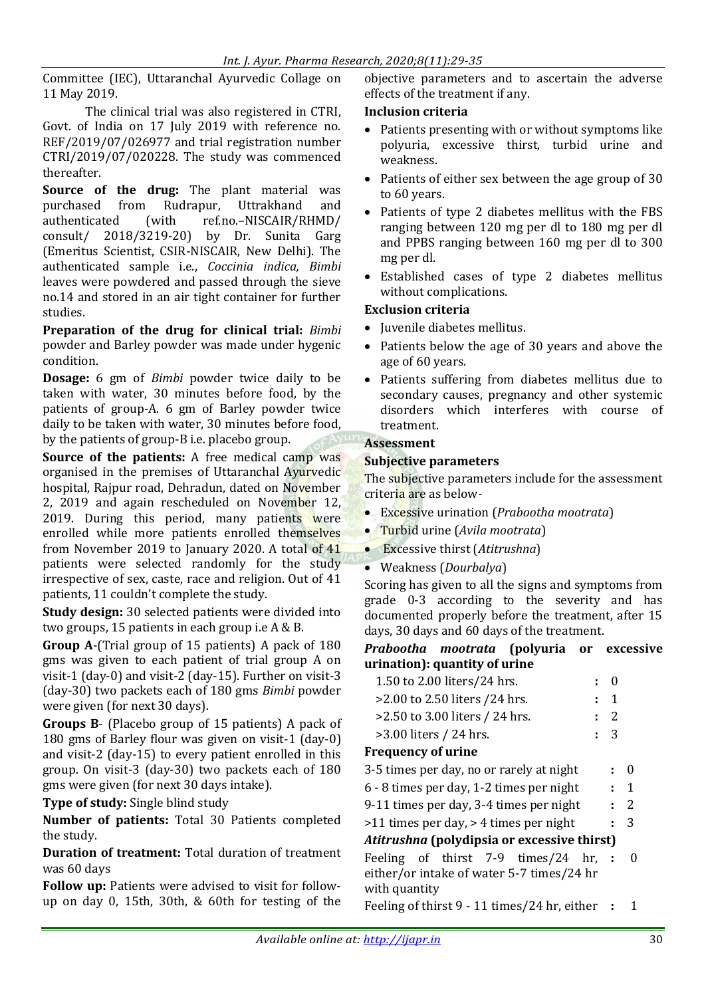Committee (IEC), Uttaranchal Ayurvedic Collage on 11 May 2019.

The clinical trial was also registered in CTRI, Govt. of India on 17 July 2019 with reference no. REF/2019/07/026977 and trial registration number CTRI/2019/07/020228. The study was commenced thereafter.

**Source of the drug:** The plant material was purchased from Rudrapur, Uttrakhand and authenticated (with ref.no.–NISCAIR/RHMD/ consult/ 2018/3219-20) by Dr. Sunita Garg (Emeritus Scientist, CSIR-NISCAIR, New Delhi). The authenticated sample i.e., *Coccinia indica, Bimbi*  leaves were powdered and passed through the sieve no.14 and stored in an air tight container for further studies.

**Preparation of the drug for clinical trial:** *Bimbi* powder and Barley powder was made under hygenic condition.

**Dosage:** 6 gm of *Bimbi* powder twice daily to be taken with water, 30 minutes before food, by the patients of group-A. 6 gm of Barley powder twice daily to be taken with water, 30 minutes before food, by the patients of group-B i.e. placebo group.

**Source of the patients:** A free medical camp was organised in the premises of Uttaranchal Ayurvedic hospital, Rajpur road, Dehradun, dated on November 2, 2019 and again rescheduled on November 12, 2019. During this period, many patients were enrolled while more patients enrolled themselves from November 2019 to January 2020. A total of 41 patients were selected randomly for the study irrespective of sex, caste, race and religion. Out of 41 patients, 11 couldn't complete the study.

**Study design:** 30 selected patients were divided into two groups, 15 patients in each group i.e A & B.

**Group A**-(Trial group of 15 patients) A pack of 180 gms was given to each patient of trial group A on visit-1 (day-0) and visit-2 (day-15). Further on visit-3 (day-30) two packets each of 180 gms *Bimbi* powder were given (for next 30 days).

**Groups B**- (Placebo group of 15 patients) A pack of 180 gms of Barley flour was given on visit-1 (day-0) and visit-2 (day-15) to every patient enrolled in this group. On visit-3 (day-30) two packets each of 180 gms were given (for next 30 days intake).

**Type of study:** Single blind study

**Number of patients:** Total 30 Patients completed the study.

**Duration of treatment:** Total duration of treatment was 60 days

**Follow up:** Patients were advised to visit for followup on day 0, 15th, 30th, & 60th for testing of the objective parameters and to ascertain the adverse effects of the treatment if any.

## **Inclusion criteria**

- Patients presenting with or without symptoms like polyuria, excessive thirst, turbid urine and weakness.
- Patients of either sex between the age group of 30 to 60 years.
- Patients of type 2 diabetes mellitus with the FBS ranging between 120 mg per dl to 180 mg per dl and PPBS ranging between 160 mg per dl to 300 mg per dl.
- Established cases of type 2 diabetes mellitus without complications.

# **Exclusion criteria**

- Juvenile diabetes mellitus.
- Patients below the age of 30 years and above the age of 60 years.
- Patients suffering from diabetes mellitus due to secondary causes, pregnancy and other systemic disorders which interferes with course of treatment.

# **Assessment**

## **Subjective parameters**

The subjective parameters include for the assessment criteria are as below-

- Excessive urination (*Prabootha mootrata*)
- Turbid urine (*Avila mootrata*)
- Excessive thirst (*Atitrushna*)
- Weakness (*Dourbalya*)

Scoring has given to all the signs and symptoms from grade 0-3 according to the severity and has documented properly before the treatment, after 15 days, 30 days and 60 days of the treatment.

## *Prabootha mootrata* **(polyuria or excessive urination): quantity of urine**

| 1.50 to 2.00 liters/24 hrs.     | $\colon \; 0$       |
|---------------------------------|---------------------|
| $>2.00$ to 2.50 liters /24 hrs. | $\colon \mathsf{1}$ |
| >2.50 to 3.00 liters / 24 hrs.  | $\cdot$ 2           |
| $>3.00$ liters / 24 hrs.        | $\pm$ 3             |

## **Frequency of urine**

| 3-5 times per day, no or rarely at night    | $\pm$ 0   |
|---------------------------------------------|-----------|
| 6 - 8 times per day, 1-2 times per night    | $\cdot$ 1 |
| 9-11 times per day, 3-4 times per night     | $\cdot$ 2 |
| >11 times per day, > 4 times per night      | $\cdot$ 3 |
| Atitrushna (polydipsia or excessive thirst) |           |
|                                             |           |

Feeling of thirst 7-9 times/24 hr, either/or intake of water 5-7 times/24 hr with quantity **:** 0

Feeling of thirst 9 - 11 times/24 hr, either **:** 1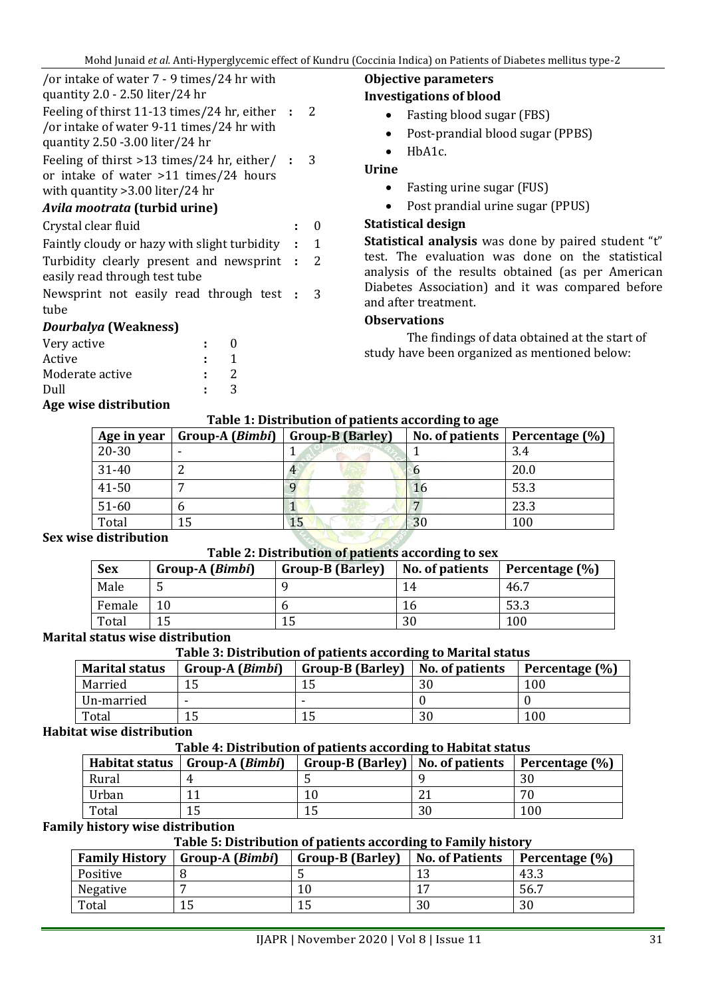| /or intake of water 7 - 9 times/24 hr with<br>quantity $2.0 - 2.50$ liter/24 hr                                                    |                |   |
|------------------------------------------------------------------------------------------------------------------------------------|----------------|---|
| Feeling of thirst $11-13$ times/24 hr, either :<br>/or intake of water 9-11 times/24 hr with<br>quantity $2.50 - 3.00$ liter/24 hr | $\mathcal{L}$  |   |
| Feeling of thirst $>13$ times/24 hr, either/ :<br>or intake of water >11 times/24 hours<br>with quantity $>3.00$ liter/24 hr       |                | 3 |
| Avila mootrata (turbid urine)                                                                                                      |                |   |
| Crystal clear fluid                                                                                                                |                | 0 |
| Faintly cloudy or hazy with slight turbidity :                                                                                     | 1              |   |
| Turbidity clearly present and newsprint :<br>easily read through test tube                                                         | 2              |   |
| Newsprint not easily read through test :<br>tube                                                                                   |                | 3 |
| Dourbalya (Weakness)                                                                                                               |                |   |
| Very active                                                                                                                        | 0              |   |
| Active                                                                                                                             | $\mathbf{1}$   |   |
| Moderate active                                                                                                                    | $\overline{2}$ |   |
| Dull                                                                                                                               | 3              |   |

## **Age wise distribution**

# **Objective parameters**

# **Investigations of blood**

- Fasting blood sugar (FBS)
- Post-prandial blood sugar (PPBS)
- HbA1c.

#### **Urine**

- Fasting urine sugar (FUS)
- Post prandial urine sugar (PPUS)

## **Statistical design**

**Statistical analysis** was done by paired student "t" test. The evaluation was done on the statistical analysis of the results obtained (as per American Diabetes Association) and it was compared before and after treatment.

#### **Observations**

The findings of data obtained at the start of study have been organized as mentioned below:

#### **Table 1: Distribution of patients according to age**

| Age in year | Group-A ( <i>Bimbi</i> ) | <b>Group-B (Barley)</b> |    | No. of patients   Percentage $(\%)$ |
|-------------|--------------------------|-------------------------|----|-------------------------------------|
| $20 - 30$   |                          |                         |    | 3.4                                 |
| 31-40       |                          |                         |    | 20.0                                |
| 41-50       |                          |                         | 16 | 53.3                                |
| $51 - 60$   |                          |                         |    | 23.3                                |
| Total       | 15                       |                         | 30 | 100                                 |

#### **Sex wise distribution**

#### **Table 2: Distribution of patients according to sex**

| <b>Sex</b> | Group-A ( <i>Bimbi</i> ) | <b>Group-B (Barley)</b> | Tuble == Distribution of puttents according to sea<br>No. of patients | Percentage (%) |
|------------|--------------------------|-------------------------|-----------------------------------------------------------------------|----------------|
| Male       | ◡                        |                         | 14                                                                    | 46.7           |
| Female     |                          |                         | I b                                                                   | 53.3           |
| Total      |                          |                         | 30                                                                    | 100            |

#### **Marital status wise distribution**

#### **Table 3: Distribution of patients according to Marital status**

| <b>Marital status</b> | Group-A ( <i>Bimbi</i> ) | <b>Group-B (Barley)</b> | No. of patients | Percentage (%) |
|-----------------------|--------------------------|-------------------------|-----------------|----------------|
| Married               | 15                       | ⊥ J                     | 30              | 100            |
| Un-married            |                          | -                       |                 |                |
| Total                 | 15                       | ⊥J                      | 30              | 100            |

#### **Habitat wise distribution**

#### **Table 4: Distribution of patients according to Habitat status**

|       | Habitat status   Group-A $(Bimbi)$ | Group-B (Barley)   No. of patients |    | Percentage (%) |
|-------|------------------------------------|------------------------------------|----|----------------|
| Rural |                                    |                                    |    | 30             |
| Urban |                                    |                                    |    | 70             |
| Total |                                    |                                    | 30 | 100            |

#### **Family history wise distribution**

#### **Table 5: Distribution of patients according to Family history**

| <b>Family History</b> | Group-A ( <i>Bimbi</i> ) | <b>Group-B (Barley)</b> | No. of Patients | Percentage (%) |
|-----------------------|--------------------------|-------------------------|-----------------|----------------|
| Positive              |                          |                         |                 | 43.3           |
| Negative              |                          |                         |                 | 56.7           |
| Total                 |                          | ⊥J                      | 30              | 30             |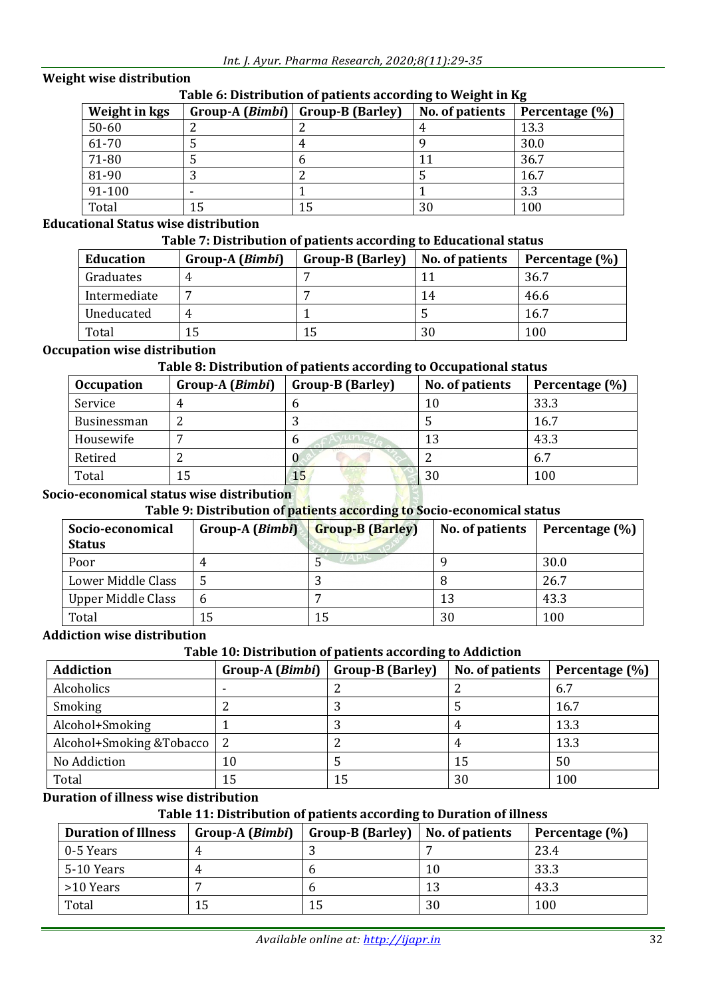## **Weight wise distribution**

| rabic of Distribution or patients according to weight in hg |    |                                    |                 |                |  |  |
|-------------------------------------------------------------|----|------------------------------------|-----------------|----------------|--|--|
| Weight in kgs                                               |    | Group-A $(Bimbi)$ Group-B (Barley) | No. of patients | Percentage (%) |  |  |
| $50 - 60$                                                   |    |                                    |                 | 13.3           |  |  |
| 61-70                                                       |    | 4                                  |                 | 30.0           |  |  |
| 71-80                                                       |    |                                    |                 | 36.7           |  |  |
| 81-90                                                       |    |                                    |                 | 16.7           |  |  |
| 91-100                                                      |    |                                    |                 | 3.3            |  |  |
| Total                                                       | 15 | 15                                 | 30              | 100            |  |  |

## **Table 6: Distribution of patients according to Weight in Kg**

# **Educational Status wise distribution**

## **Table 7: Distribution of patients according to Educational status**

| <b>Education</b> | Group-A ( <i>Bimbi</i> ) | <b>Group-B (Barley)</b> | No. of patients | Percentage (%) |
|------------------|--------------------------|-------------------------|-----------------|----------------|
| Graduates        |                          |                         |                 | 36.7           |
| Intermediate     |                          |                         | 14              | 46.6           |
| Uneducated       |                          |                         |                 | 16.7           |
| Total            | 15                       | 15                      | 30              | 100            |

## **Occupation wise distribution**

## **Table 8: Distribution of patients according to Occupational status**

| <b>Occupation</b> | Group-A ( <i>Bimbi</i> ) | <b>Group-B (Barley)</b> | No. of patients | Percentage (%) |
|-------------------|--------------------------|-------------------------|-----------------|----------------|
| Service           | 4                        |                         | 10              | 33.3           |
| Businessman       | ▵                        |                         |                 | 16.7           |
| Housewife         | -                        | $\mathbf b$             | 13              | 43.3           |
| Retired           | ∸                        |                         |                 | 6.7            |
| Total             | 15                       | 15                      | 30              | 100            |

## **Socio-economical status wise distribution**

# **Table 9: Distribution of patients according to Socio-economical status**

| Socio-economical<br><b>Status</b> | Group-A ( <i>Bimbi</i> ) | <b>Group-B (Barley)</b> | No. of patients | Percentage (%) |
|-----------------------------------|--------------------------|-------------------------|-----------------|----------------|
| Poor                              |                          |                         |                 | 30.0           |
| Lower Middle Class                |                          |                         |                 | 26.7           |
| Upper Middle Class                | b                        |                         | 13              | 43.3           |
| Total                             | 15                       | 15                      | 30              | 100            |

#### **Addiction wise distribution**

## **Table 10: Distribution of patients according to Addiction**

| Addiction                    | Group-A ( <i>Bimbi</i> ) | <b>Group-B (Barley)</b> | No. of patients | Percentage (%) |
|------------------------------|--------------------------|-------------------------|-----------------|----------------|
| Alcoholics                   |                          |                         |                 | 6.7            |
| Smoking                      |                          |                         |                 | 16.7           |
| Alcohol+Smoking              |                          |                         |                 | 13.3           |
| Alcohol+Smoking &Tobacco   2 |                          |                         |                 | 13.3           |
| No Addiction                 | 10                       |                         | 15              | 50             |
| Total                        | 15                       | 15                      | 30              | 100            |

## **Duration of illness wise distribution**

# **Table 11: Distribution of patients according to Duration of illness**

| Group-A ( <i>Bimbi</i> )<br><b>Duration of Illness</b> |   | <b>Group-B (Barley)</b> | No. of patients | Percentage (%) |
|--------------------------------------------------------|---|-------------------------|-----------------|----------------|
| $\overline{0.5}$ Years                                 | 4 |                         |                 | 23.4           |
| 5-10 Years                                             | 4 |                         | 10              | 33.3           |
| $\mid$ >10 Years                                       |   |                         | 13              | 43.3           |
| Total                                                  |   | 15                      | 30              | 100            |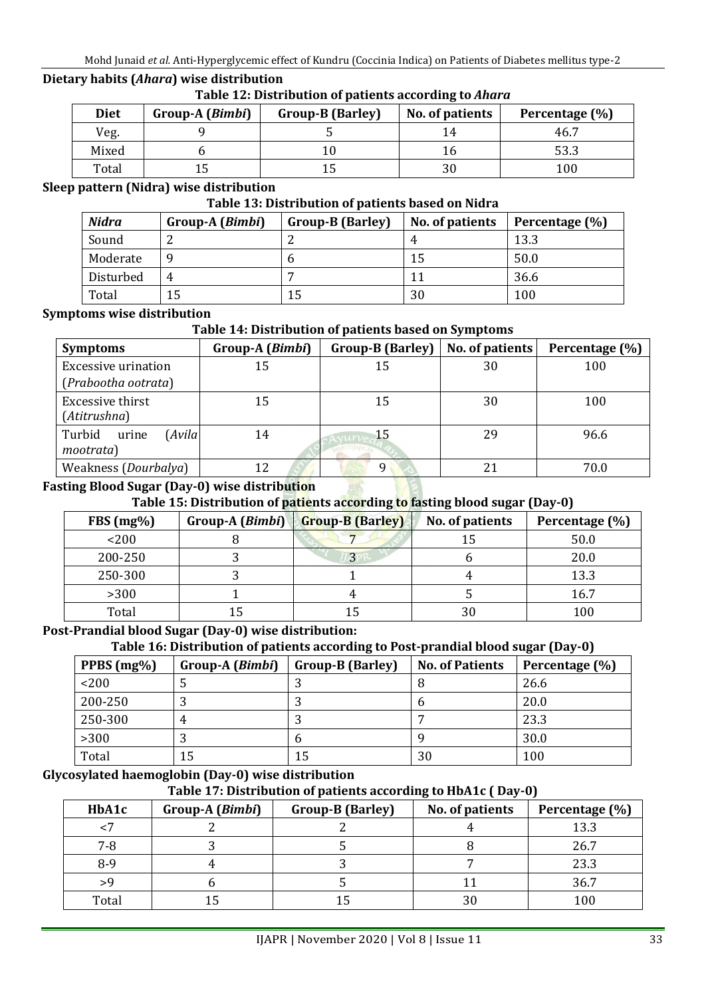# **Dietary habits (***Ahara***) wise distribution**

| Table 12: Distribution of patients according to Ahara |  |  |
|-------------------------------------------------------|--|--|
|                                                       |  |  |

| <b>Diet</b> | Group-A ( <i>Bimbi</i> ) | <b>Group-B (Barley)</b> | No. of patients | Percentage (%) |
|-------------|--------------------------|-------------------------|-----------------|----------------|
| Veg.        |                          |                         |                 | 46.7           |
| Mixed       |                          |                         | Ιb              | 53.3           |
| Total       |                          |                         | 30              | 100            |

#### **Sleep pattern (Nidra) wise distribution**

#### **Table 13: Distribution of patients based on Nidra**

| <b>Nidra</b> | Group-A ( <i>Bimbi</i> ) | <b>Group-B (Barley)</b> | No. of patients | Percentage (%) |
|--------------|--------------------------|-------------------------|-----------------|----------------|
| Sound        |                          |                         |                 | 13.3           |
| Moderate     | q                        |                         | 15              | 50.0           |
| Disturbed    | 4                        |                         | 11              | 36.6           |
| Total        | 15                       | 15                      | 30              | 100            |

#### **Symptoms wise distribution**

#### **Table 14: Distribution of patients based on Symptoms**

| <b>Symptoms</b>                       | Group-A (Bimbi) | <b>Group-B (Barley)</b> | No. of patients | Percentage (%) |
|---------------------------------------|-----------------|-------------------------|-----------------|----------------|
| <b>Excessive urination</b>            | 15              | 15                      | 30              | 100            |
| (Prabootha ootrata)                   |                 |                         |                 |                |
| Excessive thirst<br>(Atitrushna)      | 15              | 15                      | 30              | 100            |
| Turbid<br>Avila<br>urine<br>mootrata) | 14              | 15                      | 29              | 96.6           |
| Weakness (Dourbalya)                  | 12              | a                       |                 | 70.0           |

#### **Fasting Blood Sugar (Day-0) wise distribution**

# **Table 15: Distribution of patients according to fasting blood sugar (Day-0)**

| $FBS(mg\%)$ | $Group-A(Bimbi)$ | <b>Group-B (Barley)</b> | No. of patients | Percentage (%) |
|-------------|------------------|-------------------------|-----------------|----------------|
| $<$ 200     |                  |                         | 15              | 50.0           |
| 200-250     |                  | 3                       |                 | 20.0           |
| 250-300     |                  |                         |                 | 13.3           |
| >300        |                  |                         |                 | 16.7           |
| Total       |                  |                         | 30              | 100            |

## **Post-Prandial blood Sugar (Day-0) wise distribution:**

## **Table 16: Distribution of patients according to Post-prandial blood sugar (Day-0)**

| PPBS $(mg\%)$ | Group-A ( <i>Bimbi</i> ) | <b>Group-B (Barley)</b> | <b>No. of Patients</b> | Percentage (%) |
|---------------|--------------------------|-------------------------|------------------------|----------------|
| < 200         |                          |                         |                        | 26.6           |
| 200-250       |                          |                         | n                      | 20.0           |
| 250-300       | 4                        |                         |                        | 23.3           |
| $>300$        |                          |                         |                        | 30.0           |
| Total         |                          | 15                      | 30                     | 100            |

## **Glycosylated haemoglobin (Day-0) wise distribution**

#### **Table 17: Distribution of patients according to HbA1c ( Day-0)**

| HbA1c   | Group-A ( <i>Bimbi</i> ) | <b>Group-B (Barley)</b> | No. of patients | Percentage (%) |
|---------|--------------------------|-------------------------|-----------------|----------------|
|         |                          |                         |                 | 13.3           |
| $7 - 8$ |                          |                         |                 | 26.7           |
| $8-9$   |                          |                         |                 | 23.3           |
| 59      |                          |                         |                 | 36.7           |
| Total   |                          |                         | 30              | 100            |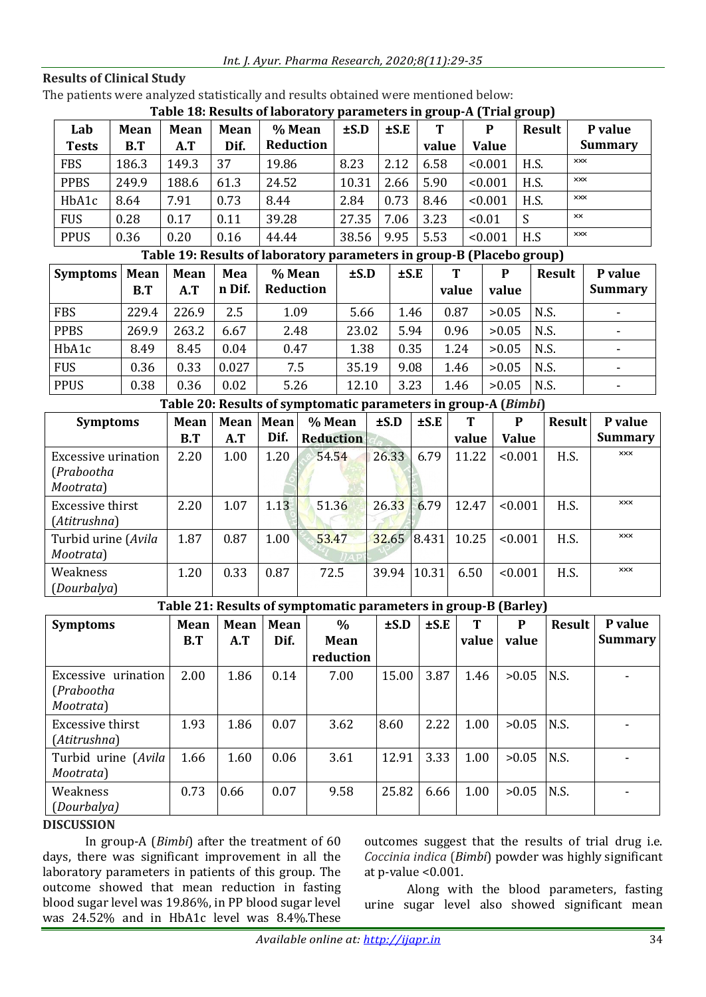| Int. J. Ayur. Pharma Research, 2020;8(11):29-35 |
|-------------------------------------------------|
|-------------------------------------------------|

#### **Results of Clinical Study**

The patients were analyzed statistically and results obtained were mentioned below:

| Table 18: Results of laboratory parameters in group-A (Trial group) |  |  |
|---------------------------------------------------------------------|--|--|
|                                                                     |  |  |

| Lab<br><b>Tests</b> | Mean<br>B.T | <b>Mean</b><br>A.T | <b>Mean</b><br>Dif. | % Mean<br>Reduction | $\pm$ S.D | $\pm$ S.E | Т<br>value | P<br><b>Value</b> | <b>Result</b> | P value<br><b>Summary</b> |
|---------------------|-------------|--------------------|---------------------|---------------------|-----------|-----------|------------|-------------------|---------------|---------------------------|
| <b>FBS</b>          | 186.3       | 149.3              | 37                  | 19.86               | 8.23      | 2.12      | 6.58       | < 0.001           | H.S.          | <b>XXX</b>                |
| <b>PPBS</b>         | 249.9       | 188.6              | 61.3                | 24.52               | 10.31     | 2.66      | 5.90       | < 0.001           | H.S.          | <b>XXX</b>                |
| HbA1c               | 8.64        | 7.91               | 0.73                | 8.44                | 2.84      | 0.73      | 8.46       | < 0.001           | H.S.          | <b>XXX</b>                |
| <b>FUS</b>          | 0.28        | 0.17               | 0.11                | 39.28               | 27.35     | 7.06      | 3.23       | < 0.01            |               | xx                        |
| <b>PPUS</b>         | 0.36        | 0.20               | 0.16                | 44.44               | 38.56     | 9.95      | 5.53       | < 0.001           | H.S           | <b>XXX</b>                |

## **Table 19: Results of laboratory parameters in group-B (Placebo group)**

| <b>Symptoms</b> | <b>Mean</b> | <b>Mean</b> | Mea    | % Mean    | $\pm$ S.D | т<br>$\pm$ S.E |       | P     | Result | P value        |
|-----------------|-------------|-------------|--------|-----------|-----------|----------------|-------|-------|--------|----------------|
|                 | B.T         | A.T         | n Dif. | Reduction |           |                | value | value |        | <b>Summary</b> |
| <b>FBS</b>      | 229.4       | 226.9       | 2.5    | 1.09      | 5.66      | 1.46           | 0.87  | >0.05 | N.S.   |                |
| <b>PPBS</b>     | 269.9       | 263.2       | 6.67   | 2.48      | 23.02     | 5.94           | 0.96  | >0.05 | N.S.   |                |
| HbA1c           | 8.49        | 8.45        | 0.04   | 0.47      | 1.38      | 0.35           | 1.24  | >0.05 | N.S.   |                |
| <b>FUS</b>      | 0.36        | 0.33        | 0.027  | 7.5       | 35.19     | 9.08           | 1.46  | >0.05 | N.S.   |                |
| <b>PPUS</b>     | 0.38        | 0.36        | 0.02   | 5.26      | 12.10     | 3.23           | 1.46  | >0.05 | N.S.   |                |

## **Table 20: Results of symptomatic parameters in group-A (***Bimbi***)**

| <b>Symptoms</b>                                | <b>Mean</b> | <b>Mean</b> | Mean | % Mean           | $\pm$ S.D | $\pm$ S.E | T     | P            | <b>Result</b> | P value        |
|------------------------------------------------|-------------|-------------|------|------------------|-----------|-----------|-------|--------------|---------------|----------------|
|                                                | B.T         | A.T         | Dif. | <b>Reduction</b> |           |           | value | <b>Value</b> |               | <b>Summary</b> |
| Excessive urination<br>(Prabootha<br>Mootrata) | 2.20        | 1.00        | 1.20 | 54.54            | 26.33     | 6.79      | 11.22 | < 0.001      | H.S.          | <b>XXX</b>     |
| Excessive thirst<br>(Atitrushna)               | 2.20        | 1.07        | 1.13 | 51.36            | 26.33     | 6.79      | 12.47 | < 0.001      | H.S.          | <b>XXX</b>     |
| Turbid urine (Avila<br>Mootrata)               | 1.87        | 0.87        | 1.00 | 53.47            | 32.65     | 18.431    | 10.25 | < 0.001      | H.S.          | <b>XXX</b>     |
| Weakness<br>(Dourbalya)                        | 1.20        | 0.33        | 0.87 | 72.5             | 39.94     | 10.31     | 6.50  | < 0.001      | H.S.          | <b>XXX</b>     |

# **Table 21: Results of symptomatic parameters in group-B (Barley)**

| <b>Symptoms</b>                                | Mean | Mean | Mean | $\frac{1}{2}$ and $\frac{1}{2}$ and $\frac{1}{2}$ and $\frac{1}{2}$ and $\frac{1}{2}$ are $\frac{1}{2}$ and $\frac{1}{2}$ and $\frac{1}{2}$ and $\frac{1}{2}$ and $\frac{1}{2}$ and $\frac{1}{2}$ and $\frac{1}{2}$ and $\frac{1}{2}$ and $\frac{1}{2}$ and $\frac{1}{2}$ and $\frac{1}{2}$ a<br>$\%$ | $\pm$ S.D | $\pm$ S.E | Т     | P     | <b>Result</b> | P value        |
|------------------------------------------------|------|------|------|-------------------------------------------------------------------------------------------------------------------------------------------------------------------------------------------------------------------------------------------------------------------------------------------------------|-----------|-----------|-------|-------|---------------|----------------|
|                                                | B.T  | A.T  | Dif. | Mean                                                                                                                                                                                                                                                                                                  |           |           | value | value |               | <b>Summary</b> |
|                                                |      |      |      | reduction                                                                                                                                                                                                                                                                                             |           |           |       |       |               |                |
| Excessive urination<br>(Prabootha<br>Mootrata) | 2.00 | 1.86 | 0.14 | 7.00                                                                                                                                                                                                                                                                                                  | 15.00     | 3.87      | 1.46  | >0.05 | IN.S.         |                |
| Excessive thirst<br>(Atitrushna)               | 1.93 | 1.86 | 0.07 | 3.62                                                                                                                                                                                                                                                                                                  | 8.60      | 2.22      | 1.00  | >0.05 | N.S.          |                |
| Turbid urine (Avila)<br>Mootrata)              | 1.66 | 1.60 | 0.06 | 3.61                                                                                                                                                                                                                                                                                                  | 12.91     | 3.33      | 1.00  | >0.05 | N.S.          |                |
| Weakness<br>(Dourbalya)                        | 0.73 | 0.66 | 0.07 | 9.58                                                                                                                                                                                                                                                                                                  | 25.82     | 6.66      | 1.00  | >0.05 | N.S.          |                |

## **DISCUSSION**

In group-A (*Bimbi*) after the treatment of 60 days, there was significant improvement in all the laboratory parameters in patients of this group. The outcome showed that mean reduction in fasting blood sugar level was 19.86%, in PP blood sugar level was 24.52% and in HbA1c level was 8.4%.These

outcomes suggest that the results of trial drug i.e. *Coccinia indica* (*Bimbi*) powder was highly significant at p-value <0.001.

Along with the blood parameters, fasting urine sugar level also showed significant mean